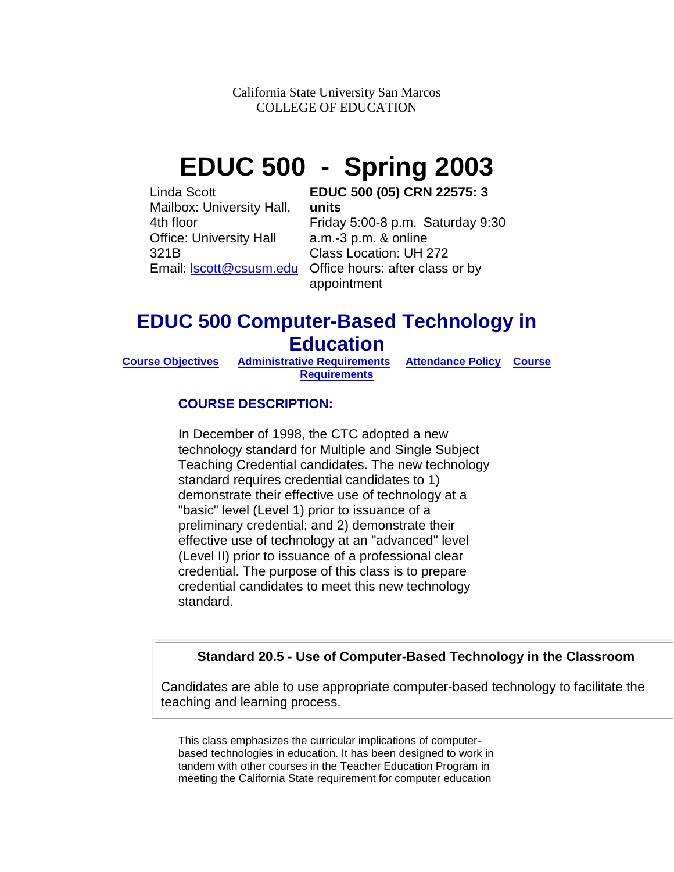California State University San Marcos COLLEGE OF EDUCATION

# **EDUC 500 - Spring 2003**

Linda Scott Mailbox: University Hall, 4th floor Office: University Hall 321B

#### **EDUC 500 (05) CRN 22575: 3 units**

Email: **Scott@csusm.edu** Office hours: after class or by Friday 5:00-8 p.m. Saturday 9:30 a.m.-3 p.m. & online Class Location: UH 272 appointment

## **EDUC 500 Computer-Based Technology in Education**

**[Requirements](http://public.csusm.edu/lscott/syllabus.html#course%20requirments)**

**[Course Objectives](http://public.csusm.edu/lscott/syllabus.html#course%20objectives) [Administrative Requirements](http://public.csusm.edu/lscott/syllabus.html#admin%20requirements) [Attendance Policy](http://public.csusm.edu/lscott/syllabus.html#Attendance%20policy) [Course](http://public.csusm.edu/lscott/syllabus.html#course%20requirments)** 

## **COURSE DESCRIPTION:**

In December of 1998, the CTC adopted a new technology standard for Multiple and Single Subject Teaching Credential candidates. The new technology standard requires credential candidates to 1) demonstrate their effective use of technology at a "basic" level (Level 1) prior to issuance of a preliminary credential; and 2) demonstrate their effective use of technology at an "advanced" level (Level II) prior to issuance of a professional clear credential. The purpose of this class is to prepare credential candidates to meet this new technology standard.

### **Standard 20.5 - Use of Computer-Based Technology in the Classroom**

Candidates are able to use appropriate computer-based technology to facilitate the teaching and learning process.

This class emphasizes the curricular implications of computerbased technologies in education. It has been designed to work in tandem with other courses in the Teacher Education Program in meeting the California State requirement for computer education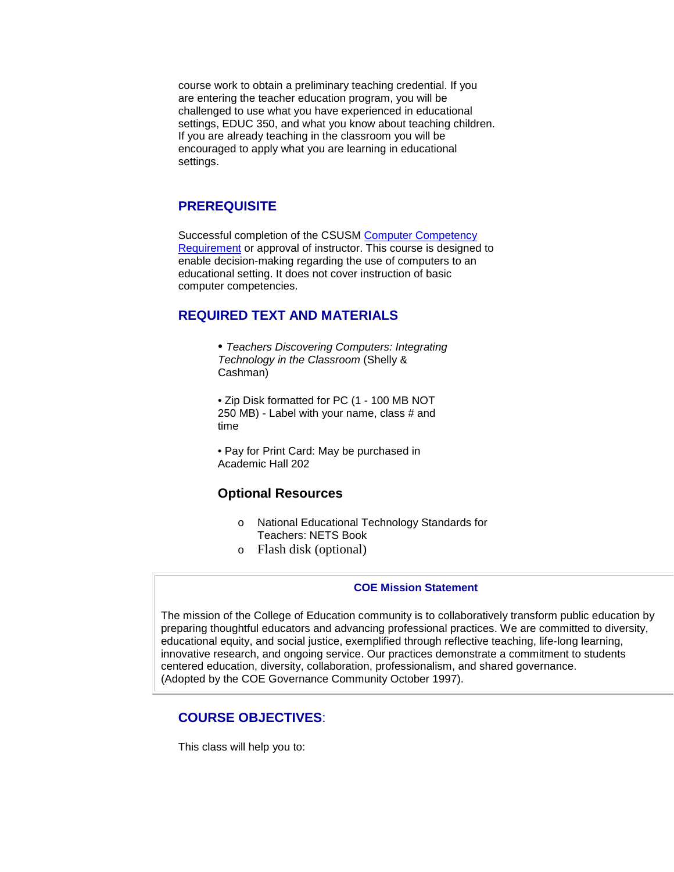course work to obtain a preliminary teaching credential. If you are entering the teacher education program, you will be challenged to use what you have experienced in educational settings, EDUC 350, and what you know about teaching children. If you are already teaching in the classroom you will be encouraged to apply what you are learning in educational settings.

#### **PREREQUISITE**

Successful completion of the CSUSM [Computer Competency](http://www.csusm.edu/computer_labs/ccr.htm)  [Requirement](http://www.csusm.edu/computer_labs/ccr.htm) or approval of instructor. This course is designed to enable decision-making regarding the use of computers to an educational setting. It does not cover instruction of basic computer competencies.

#### **REQUIRED TEXT AND MATERIALS**

• *Teachers Discovering Computers: Integrating Technology in the Classroom* (Shelly & Cashman)

• Zip Disk formatted for PC (1 - 100 MB NOT 250 MB) - Label with your name, class # and time

• Pay for Print Card: May be purchased in Academic Hall 202

## **Optional Resources**

- o National Educational Technology Standards for Teachers: NETS Book
- o Flash disk (optional)

#### **COE Mission Statement**

The mission of the College of Education community is to collaboratively transform public education by preparing thoughtful educators and advancing professional practices. We are committed to diversity, educational equity, and social justice, exemplified through reflective teaching, life-long learning, innovative research, and ongoing service. Our practices demonstrate a commitment to students centered education, diversity, collaboration, professionalism, and shared governance. (Adopted by the COE Governance Community October 1997).

#### **COURSE OBJECTIVES**:

This class will help you to: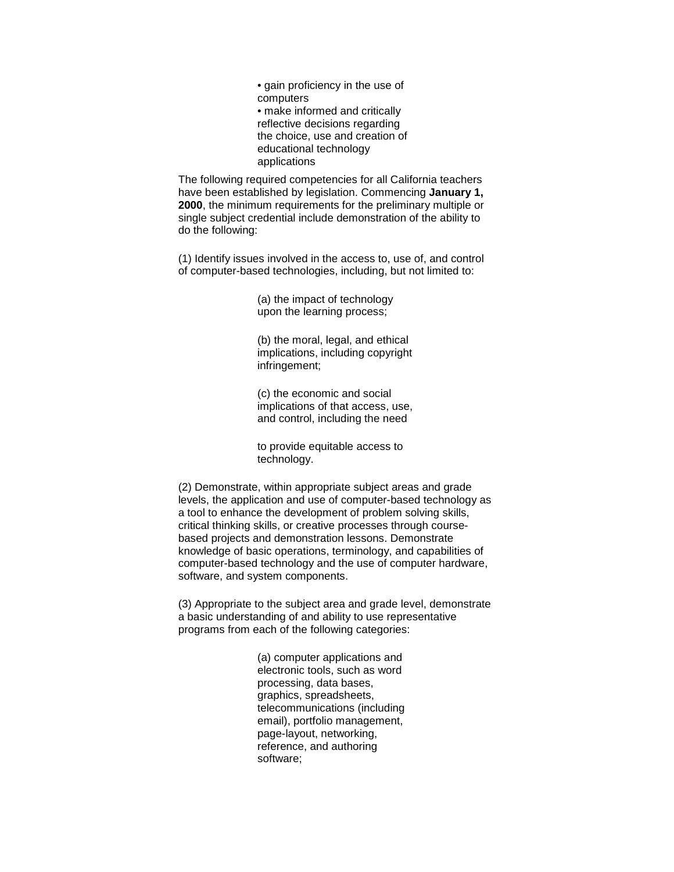• gain proficiency in the use of computers • make informed and critically reflective decisions regarding the choice, use and creation of educational technology applications

The following required competencies for all California teachers have been established by legislation. Commencing **January 1, 2000**, the minimum requirements for the preliminary multiple or single subject credential include demonstration of the ability to do the following:

(1) Identify issues involved in the access to, use of, and control of computer-based technologies, including, but not limited to:

> (a) the impact of technology upon the learning process;

(b) the moral, legal, and ethical implications, including copyright infringement;

(c) the economic and social implications of that access, use, and control, including the need

to provide equitable access to technology.

(2) Demonstrate, within appropriate subject areas and grade levels, the application and use of computer-based technology as a tool to enhance the development of problem solving skills, critical thinking skills, or creative processes through coursebased projects and demonstration lessons. Demonstrate knowledge of basic operations, terminology, and capabilities of computer-based technology and the use of computer hardware, software, and system components.

(3) Appropriate to the subject area and grade level, demonstrate a basic understanding of and ability to use representative programs from each of the following categories:

> (a) computer applications and electronic tools, such as word processing, data bases, graphics, spreadsheets, telecommunications (including email), portfolio management, page-layout, networking, reference, and authoring software;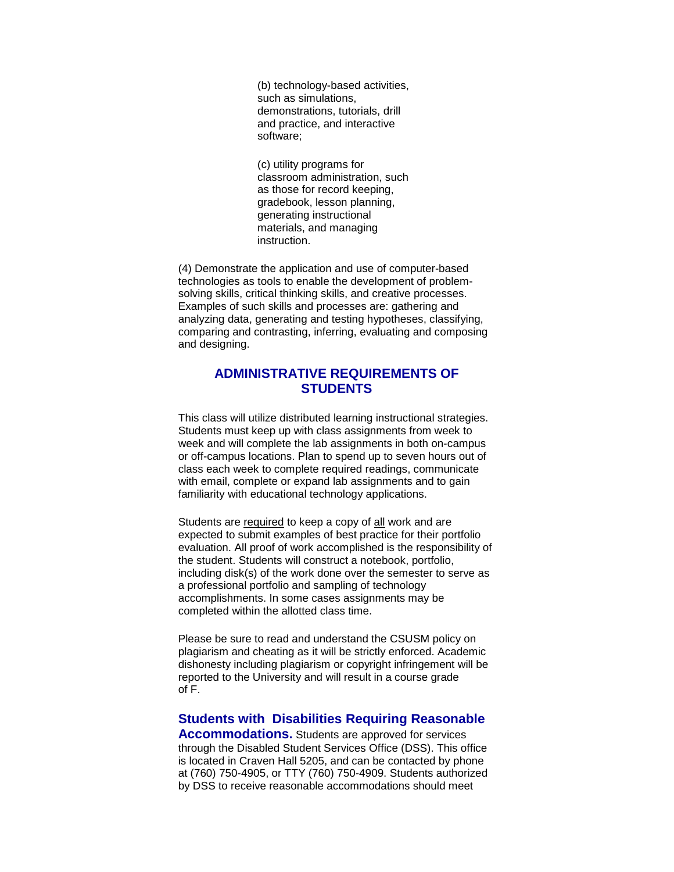(b) technology-based activities, such as simulations, demonstrations, tutorials, drill and practice, and interactive software;

(c) utility programs for classroom administration, such as those for record keeping, gradebook, lesson planning, generating instructional materials, and managing instruction.

(4) Demonstrate the application and use of computer-based technologies as tools to enable the development of problemsolving skills, critical thinking skills, and creative processes. Examples of such skills and processes are: gathering and analyzing data, generating and testing hypotheses, classifying, comparing and contrasting, inferring, evaluating and composing and designing.

#### **ADMINISTRATIVE REQUIREMENTS OF STUDENTS**

This class will utilize distributed learning instructional strategies. Students must keep up with class assignments from week to week and will complete the lab assignments in both on-campus or off-campus locations. Plan to spend up to seven hours out of class each week to complete required readings, communicate with email, complete or expand lab assignments and to gain familiarity with educational technology applications.

Students are required to keep a copy of all work and are expected to submit examples of best practice for their portfolio evaluation. All proof of work accomplished is the responsibility of the student. Students will construct a notebook, portfolio, including disk(s) of the work done over the semester to serve as a professional portfolio and sampling of technology accomplishments. In some cases assignments may be completed within the allotted class time.

Please be sure to read and understand the CSUSM policy on plagiarism and cheating as it will be strictly enforced. Academic dishonesty including plagiarism or copyright infringement will be reported to the University and will result in a course grade of F.

#### **Students with Disabilities Requiring Reasonable**

**Accommodations.** Students are approved for services through the Disabled Student Services Office (DSS). This office is located in Craven Hall 5205, and can be contacted by phone at (760) 750-4905, or TTY (760) 750-4909. Students authorized by DSS to receive reasonable accommodations should meet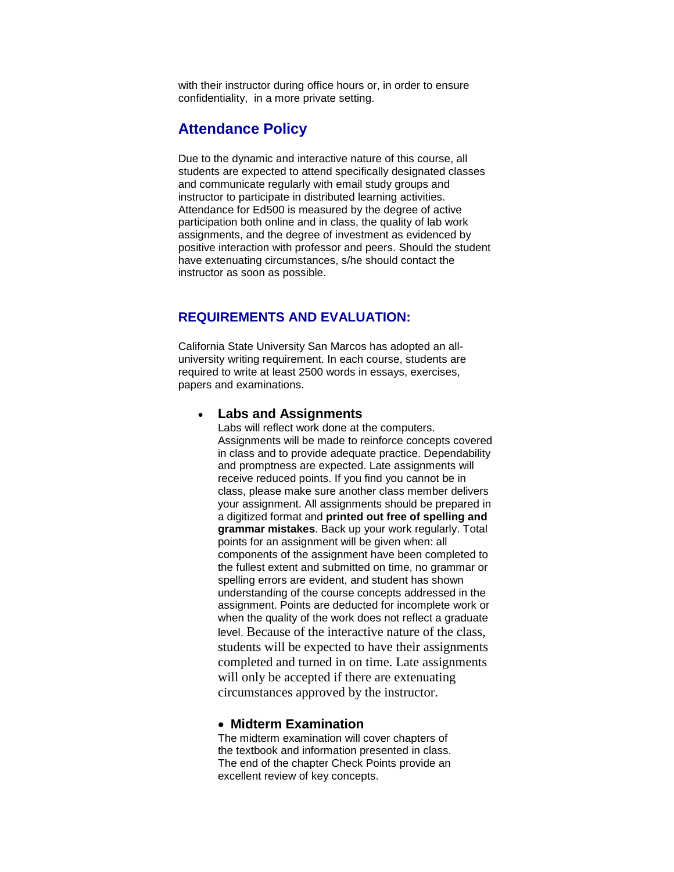with their instructor during office hours or, in order to ensure confidentiality, in a more private setting.

## **Attendance Policy**

Due to the dynamic and interactive nature of this course, all students are expected to attend specifically designated classes and communicate regularly with email study groups and instructor to participate in distributed learning activities. Attendance for Ed500 is measured by the degree of active participation both online and in class, the quality of lab work assignments, and the degree of investment as evidenced by positive interaction with professor and peers. Should the student have extenuating circumstances, s/he should contact the instructor as soon as possible.

### **REQUIREMENTS AND EVALUATION:**

California State University San Marcos has adopted an alluniversity writing requirement. In each course, students are required to write at least 2500 words in essays, exercises, papers and examinations.

#### • **Labs and Assignments**

Labs will reflect work done at the computers. Assignments will be made to reinforce concepts covered in class and to provide adequate practice. Dependability and promptness are expected. Late assignments will receive reduced points. If you find you cannot be in class, please make sure another class member delivers your assignment. All assignments should be prepared in a digitized format and **printed out free of spelling and grammar mistakes**. Back up your work regularly. Total points for an assignment will be given when: all components of the assignment have been completed to the fullest extent and submitted on time, no grammar or spelling errors are evident, and student has shown understanding of the course concepts addressed in the assignment. Points are deducted for incomplete work or when the quality of the work does not reflect a graduate level. Because of the interactive nature of the class, students will be expected to have their assignments completed and turned in on time. Late assignments will only be accepted if there are extenuating circumstances approved by the instructor.

#### • **Midterm Examination**

The midterm examination will cover chapters of the textbook and information presented in class. The end of the chapter Check Points provide an excellent review of key concepts.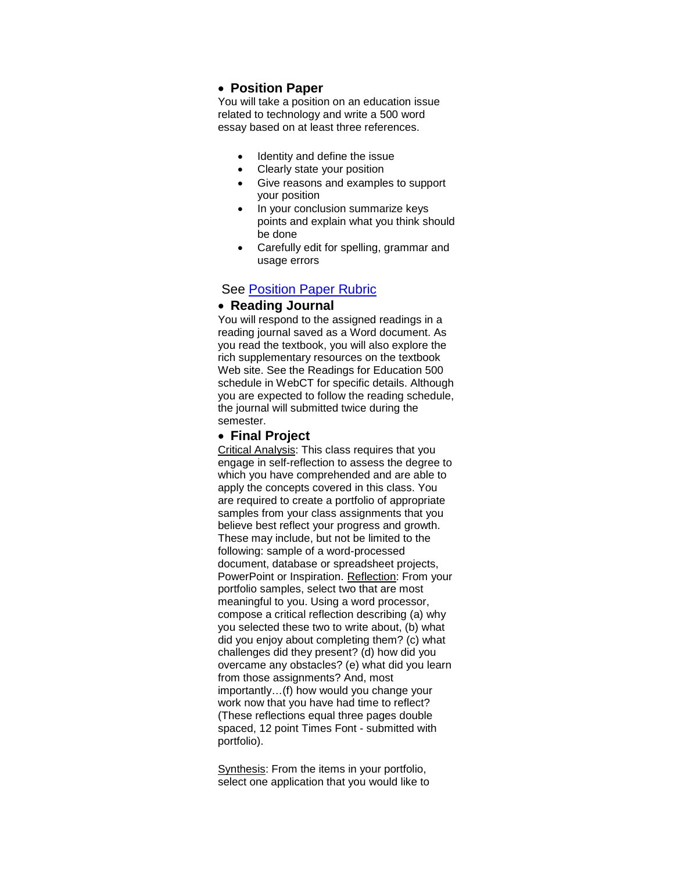#### • **Position Paper**

You will take a position on an education issue related to technology and write a 500 word essay based on at least three references.

- Identity and define the issue
- Clearly state your position
- Give reasons and examples to support your position
- In your conclusion summarize keys points and explain what you think should be done
- Carefully edit for spelling, grammar and usage errors

#### **See [Position Paper Rubric](http://rubistar.4teachers.org/view_rubric.php3?id=353605)**

#### • **Reading Journal**

You will respond to the assigned readings in a reading journal saved as a Word document. As you read the textbook, you will also explore the rich supplementary resources on the textbook Web site. See the Readings for Education 500 schedule in WebCT for specific details. Although you are expected to follow the reading schedule, the journal will submitted twice during the semester.

#### • **Final Project**

Critical Analysis: This class requires that you engage in self-reflection to assess the degree to which you have comprehended and are able to apply the concepts covered in this class. You are required to create a portfolio of appropriate samples from your class assignments that you believe best reflect your progress and growth. These may include, but not be limited to the following: sample of a word-processed document, database or spreadsheet projects, PowerPoint or Inspiration. Reflection: From your portfolio samples, select two that are most meaningful to you. Using a word processor, compose a critical reflection describing (a) why you selected these two to write about, (b) what did you enjoy about completing them? (c) what challenges did they present? (d) how did you overcame any obstacles? (e) what did you learn from those assignments? And, most importantly…(f) how would you change your work now that you have had time to reflect? (These reflections equal three pages double spaced, 12 point Times Font - submitted with portfolio).

Synthesis: From the items in your portfolio, select one application that you would like to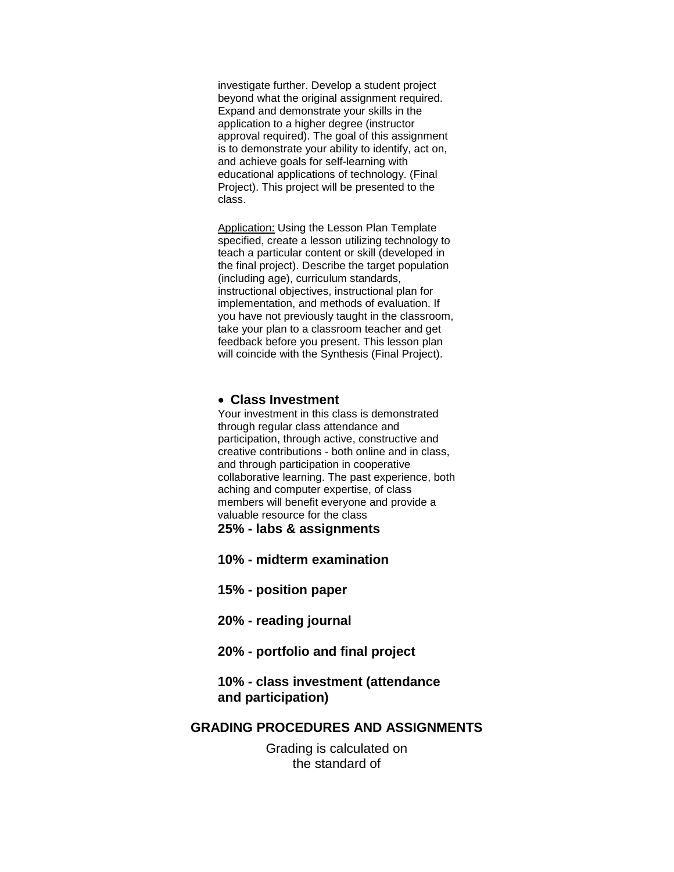investigate further. Develop a student project beyond what the original assignment required. Expand and demonstrate your skills in the application to a higher degree (instructor approval required). The goal of this assignment is to demonstrate your ability to identify, act on, and achieve goals for self-learning with educational applications of technology. (Final Project). This project will be presented to the class.

**Application: Using the Lesson Plan Template** specified, create a lesson utilizing technology to teach a particular content or skill (developed in the final project). Describe the target population (including age), curriculum standards, instructional objectives, instructional plan for implementation, and methods of evaluation. If you have not previously taught in the classroom, take your plan to a classroom teacher and get feedback before you present. This lesson plan will coincide with the Synthesis (Final Project).

#### • **Class Investment**

Your investment in this class is demonstrated through regular class attendance and participation, through active, constructive and creative contributions - both online and in class, and through participation in cooperative collaborative learning. The past experience, both aching and computer expertise, of class members will benefit everyone and provide a valuable resource for the class

**25% - labs & assignments**

**10% - midterm examination**

**15% - position paper**

- **20% - reading journal**
- **20% - portfolio and final project**

#### **10% - class investment (attendance and participation)**

#### **GRADING PROCEDURES AND ASSIGNMENTS**

Grading is calculated on the standard of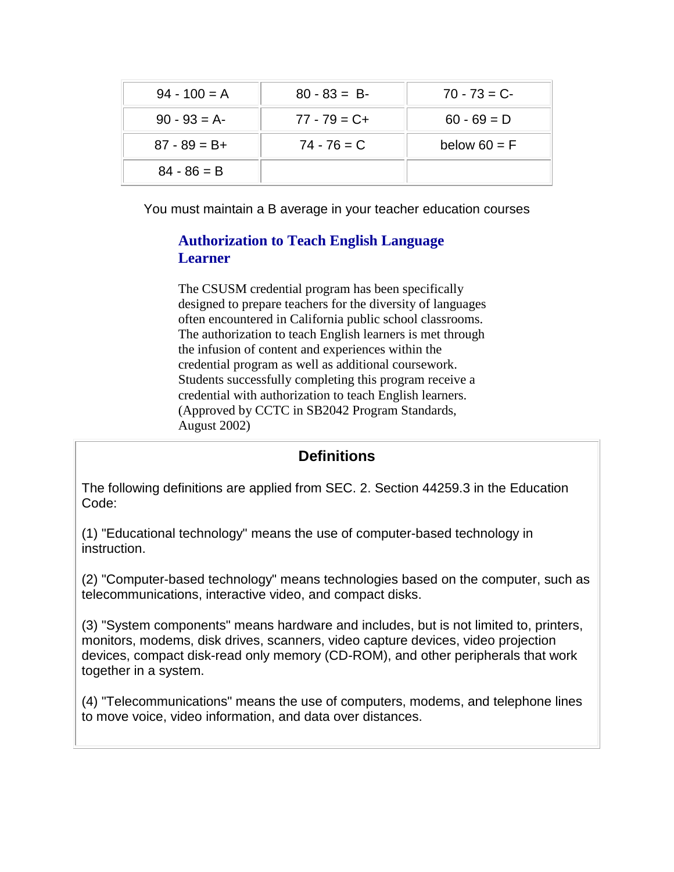| $94 - 100 = A$  | $80 - 83 = B$   | $70 - 73 = C$  |
|-----------------|-----------------|----------------|
| $90 - 93 = A$   | $77 - 79 = C +$ | $60 - 69 = D$  |
| $87 - 89 = B +$ | $74 - 76 = C$   | below $60 = F$ |
| $84 - 86 = B$   |                 |                |

You must maintain a B average in your teacher education courses

## **Authorization to Teach English Language Learner**

The CSUSM credential program has been specifically designed to prepare teachers for the diversity of languages often encountered in California public school classrooms. The authorization to teach English learners is met through the infusion of content and experiences within the credential program as well as additional coursework. Students successfully completing this program receive a credential with authorization to teach English learners. (Approved by CCTC in SB2042 Program Standards, August 2002)

## **Definitions**

The following definitions are applied from SEC. 2. Section 44259.3 in the Education Code:

(1) "Educational technology" means the use of computer-based technology in instruction.

(2) "Computer-based technology" means technologies based on the computer, such as telecommunications, interactive video, and compact disks.

(3) "System components" means hardware and includes, but is not limited to, printers, monitors, modems, disk drives, scanners, video capture devices, video projection devices, compact disk-read only memory (CD-ROM), and other peripherals that work together in a system.

(4) "Telecommunications" means the use of computers, modems, and telephone lines to move voice, video information, and data over distances.